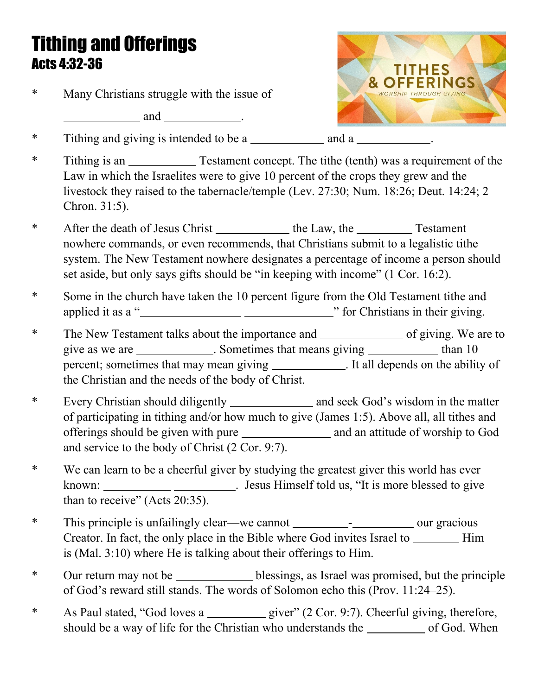## Tithing and Offerings Acts 4:32-36

\* Many Christians struggle with the issue of

*and* <u>.</u>



\* Tithing and giving is intended to be a . The and a and a

- \* Tithing is an Testament concept. The tithe (tenth) was a requirement of the Law in which the Israelites were to give 10 percent of the crops they grew and the livestock they raised to the tabernacle/temple (Lev. 27:30; Num. 18:26; Deut. 14:24; 2 Chron. 31:5).
- \* After the death of Jesus Christ the Law, the Testament nowhere commands, or even recommends, that Christians submit to a legalistic tithe system. The New Testament nowhere designates a percentage of income a person should set aside, but only says gifts should be "in keeping with income" (1 Cor. 16:2).
- \* Some in the church have taken the 10 percent figure from the Old Testament tithe and applied it as a " **with the integral of the integral of the integral of the integral of the integral of the integral of the integral of the integral of the integral of the integral of the integral of the integral of the in**
- \* The New Testament talks about the importance and of giving. We are to give as we are \_\_\_\_\_\_\_\_\_\_\_\_. Sometimes that means giving \_\_\_\_\_\_\_\_\_\_\_\_\_ than 10 percent; sometimes that may mean giving \_\_\_\_\_\_\_\_\_\_\_\_\_. It all depends on the ability of the Christian and the needs of the body of Christ.
- \* Every Christian should diligently \_\_\_\_\_\_\_\_\_\_\_\_\_\_\_ and seek God's wisdom in the matter of participating in tithing and/or how much to give (James 1:5). Above all, all tithes and offerings should be given with pure and an attitude of worship to God and service to the body of Christ (2 Cor. 9:7).
- \* We can learn to be a cheerful giver by studying the greatest giver this world has ever known: . Jesus Himself told us, "It is more blessed to give than to receive" (Acts 20:35).
- \* This principle is unfailingly clear—we cannot \_\_\_\_\_\_\_\_\_\_\_\_\_\_\_\_\_\_\_\_\_\_\_ our gracious Creator. In fact, the only place in the Bible where God invites Israel to \_\_\_\_\_\_\_\_ Him is (Mal. 3:10) where He is talking about their offerings to Him.
- \* Our return may not beblessings, as Israel was promised, but the principle of God's reward still stands. The words of Solomon echo this (Prov. 11:24–25).
- \* As Paul stated, "God loves a giver" (2 Cor. 9:7). Cheerful giving, therefore, should be a way of life for the Christian who understands the order of God. When